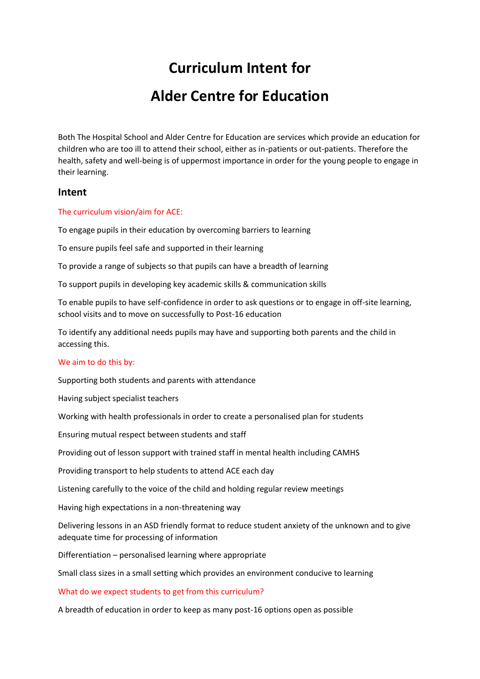# **Curriculum Intent for Alder Centre for Education**

Both The Hospital School and Alder Centre for Education are services which provide an education for children who are too ill to attend their school, either as in-patients or out-patients. Therefore the health, safety and well-being is of uppermost importance in order for the young people to engage in their learning.

## **Intent**

#### The curriculum vision/aim for ACE:

To engage pupils in their education by overcoming barriers to learning

To ensure pupils feel safe and supported in their learning

To provide a range of subjects so that pupils can have a breadth of learning

To support pupils in developing key academic skills & communication skills

To enable pupils to have self-confidence in order to ask questions or to engage in off-site learning, school visits and to move on successfully to Post-16 education

To identify any additional needs pupils may have and supporting both parents and the child in accessing this.

#### We aim to do this by:

Supporting both students and parents with attendance

Having subject specialist teachers

Working with health professionals in order to create a personalised plan for students

Ensuring mutual respect between students and staff

Providing out of lesson support with trained staff in mental health including CAMHS

Providing transport to help students to attend ACE each day

Listening carefully to the voice of the child and holding regular review meetings

Having high expectations in a non-threatening way

Delivering lessons in an ASD friendly format to reduce student anxiety of the unknown and to give adequate time for processing of information

Differentiation – personalised learning where appropriate

Small class sizes in a small setting which provides an environment conducive to learning

What do we expect students to get from this curriculum?

A breadth of education in order to keep as many post-16 options open as possible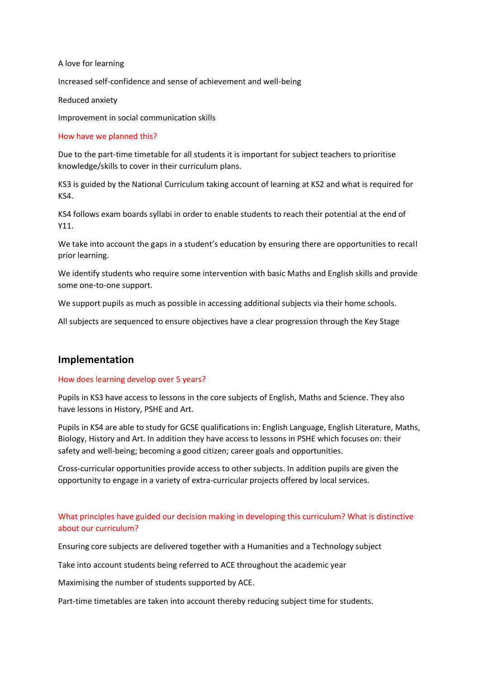A love for learning

Increased self-confidence and sense of achievement and well-being

Reduced anxiety

Improvement in social communication skills

#### How have we planned this?

Due to the part-time timetable for all students it is important for subject teachers to prioritise knowledge/skills to cover in their curriculum plans.

KS3 is guided by the National Curriculum taking account of learning at KS2 and what is required for KS4.

KS4 follows exam boards syllabi in order to enable students to reach their potential at the end of Y11.

We take into account the gaps in a student's education by ensuring there are opportunities to recall prior learning.

We identify students who require some intervention with basic Maths and English skills and provide some one-to-one support.

We support pupils as much as possible in accessing additional subjects via their home schools.

All subjects are sequenced to ensure objectives have a clear progression through the Key Stage

### **Implementation**

#### How does learning develop over 5 years?

Pupils in KS3 have access to lessons in the core subjects of English, Maths and Science. They also have lessons in History, PSHE and Art.

Pupils in KS4 are able to study for GCSE qualifications in: English Language, English Literature, Maths, Biology, History and Art. In addition they have access to lessons in PSHE which focuses on: their safety and well-being; becoming a good citizen; career goals and opportunities.

Cross-curricular opportunities provide access to other subjects. In addition pupils are given the opportunity to engage in a variety of extra-curricular projects offered by local services.

## What principles have guided our decision making in developing this curriculum? What is distinctive about our curriculum?

Ensuring core subjects are delivered together with a Humanities and a Technology subject

Take into account students being referred to ACE throughout the academic year

Maximising the number of students supported by ACE.

Part-time timetables are taken into account thereby reducing subject time for students.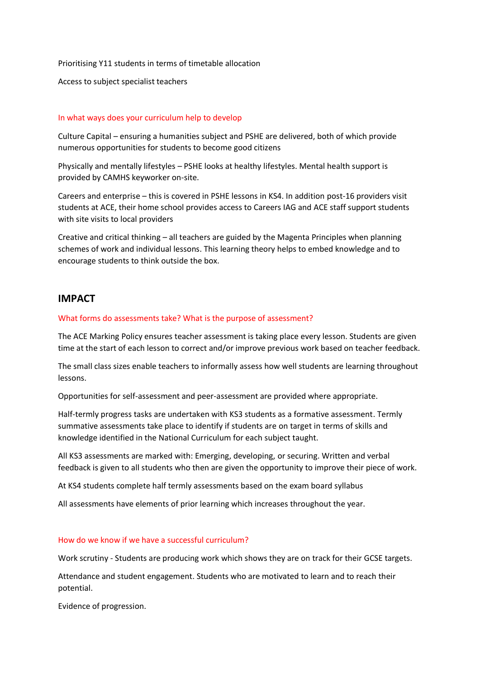Prioritising Y11 students in terms of timetable allocation

Access to subject specialist teachers

#### In what ways does your curriculum help to develop

Culture Capital – ensuring a humanities subject and PSHE are delivered, both of which provide numerous opportunities for students to become good citizens

Physically and mentally lifestyles – PSHE looks at healthy lifestyles. Mental health support is provided by CAMHS keyworker on-site.

Careers and enterprise – this is covered in PSHE lessons in KS4. In addition post-16 providers visit students at ACE, their home school provides access to Careers IAG and ACE staff support students with site visits to local providers

Creative and critical thinking – all teachers are guided by the Magenta Principles when planning schemes of work and individual lessons. This learning theory helps to embed knowledge and to encourage students to think outside the box.

## **IMPACT**

#### What forms do assessments take? What is the purpose of assessment?

The ACE Marking Policy ensures teacher assessment is taking place every lesson. Students are given time at the start of each lesson to correct and/or improve previous work based on teacher feedback.

The small class sizes enable teachers to informally assess how well students are learning throughout lessons.

Opportunities for self-assessment and peer-assessment are provided where appropriate.

Half-termly progress tasks are undertaken with KS3 students as a formative assessment. Termly summative assessments take place to identify if students are on target in terms of skills and knowledge identified in the National Curriculum for each subject taught.

All KS3 assessments are marked with: Emerging, developing, or securing. Written and verbal feedback is given to all students who then are given the opportunity to improve their piece of work.

At KS4 students complete half termly assessments based on the exam board syllabus

All assessments have elements of prior learning which increases throughout the year.

#### How do we know if we have a successful curriculum?

Work scrutiny - Students are producing work which shows they are on track for their GCSE targets.

Attendance and student engagement. Students who are motivated to learn and to reach their potential.

Evidence of progression.